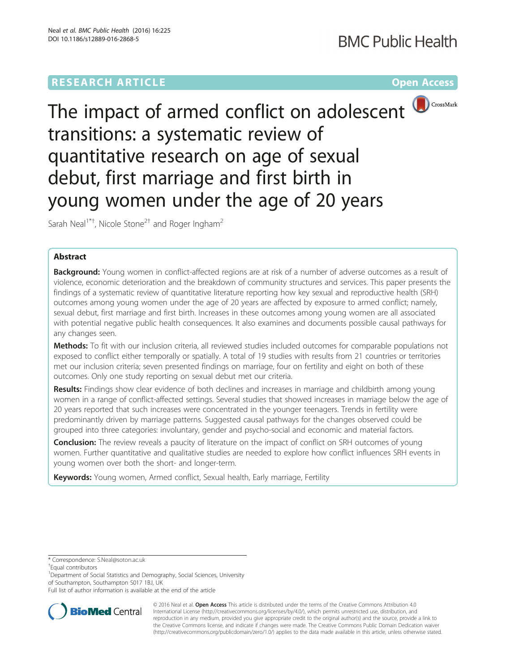# **RESEARCH ARTICLE Example 2014 12:30 The Contract of Contract ACCESS**



# The impact of armed conflict on adolescent transitions: a systematic review of quantitative research on age of sexual debut, first marriage and first birth in young women under the age of 20 years

Sarah Neal<sup>1\*†</sup>, Nicole Stone<sup>2†</sup> and Roger Ingham<sup>2</sup>

# Abstract

**Background:** Young women in conflict-affected regions are at risk of a number of adverse outcomes as a result of violence, economic deterioration and the breakdown of community structures and services. This paper presents the findings of a systematic review of quantitative literature reporting how key sexual and reproductive health (SRH) outcomes among young women under the age of 20 years are affected by exposure to armed conflict; namely, sexual debut, first marriage and first birth. Increases in these outcomes among young women are all associated with potential negative public health consequences. It also examines and documents possible causal pathways for any changes seen.

Methods: To fit with our inclusion criteria, all reviewed studies included outcomes for comparable populations not exposed to conflict either temporally or spatially. A total of 19 studies with results from 21 countries or territories met our inclusion criteria; seven presented findings on marriage, four on fertility and eight on both of these outcomes. Only one study reporting on sexual debut met our criteria.

Results: Findings show clear evidence of both declines and increases in marriage and childbirth among young women in a range of conflict-affected settings. Several studies that showed increases in marriage below the age of 20 years reported that such increases were concentrated in the younger teenagers. Trends in fertility were predominantly driven by marriage patterns. Suggested causal pathways for the changes observed could be grouped into three categories: involuntary, gender and psycho-social and economic and material factors.

**Conclusion:** The review reveals a paucity of literature on the impact of conflict on SRH outcomes of young women. Further quantitative and qualitative studies are needed to explore how conflict influences SRH events in young women over both the short- and longer-term.

Keywords: Young women, Armed conflict, Sexual health, Early marriage, Fertility

<sup>1</sup>Department of Social Statistics and Demography, Social Sciences, University of Southampton, Southampton S017 1BJ, UK

Full list of author information is available at the end of the article



© 2016 Neal et al. Open Access This article is distributed under the terms of the Creative Commons Attribution 4.0 International License [\(http://creativecommons.org/licenses/by/4.0/](http://creativecommons.org/licenses/by/4.0/)), which permits unrestricted use, distribution, and reproduction in any medium, provided you give appropriate credit to the original author(s) and the source, provide a link to the Creative Commons license, and indicate if changes were made. The Creative Commons Public Domain Dedication waiver [\(http://creativecommons.org/publicdomain/zero/1.0/](http://creativecommons.org/publicdomain/zero/1.0/)) applies to the data made available in this article, unless otherwise stated.

<sup>\*</sup> Correspondence: [S.Neal@soton.ac.uk](mailto:S.Neal@soton.ac.uk) †

Equal contributors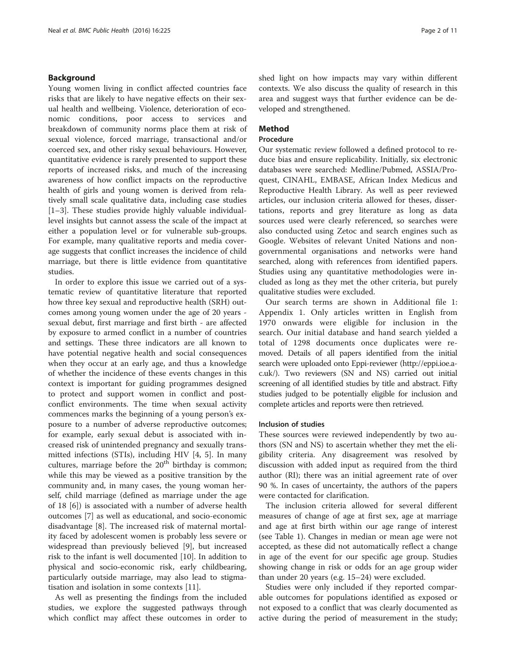# Background

Young women living in conflict affected countries face risks that are likely to have negative effects on their sexual health and wellbeing. Violence, deterioration of economic conditions, poor access to services and breakdown of community norms place them at risk of sexual violence, forced marriage, transactional and/or coerced sex, and other risky sexual behaviours. However, quantitative evidence is rarely presented to support these reports of increased risks, and much of the increasing awareness of how conflict impacts on the reproductive health of girls and young women is derived from relatively small scale qualitative data, including case studies [[1](#page-9-0)–[3\]](#page-9-0). These studies provide highly valuable individuallevel insights but cannot assess the scale of the impact at either a population level or for vulnerable sub-groups. For example, many qualitative reports and media coverage suggests that conflict increases the incidence of child marriage, but there is little evidence from quantitative studies.

In order to explore this issue we carried out of a systematic review of quantitative literature that reported how three key sexual and reproductive health (SRH) outcomes among young women under the age of 20 years sexual debut, first marriage and first birth - are affected by exposure to armed conflict in a number of countries and settings. These three indicators are all known to have potential negative health and social consequences when they occur at an early age, and thus a knowledge of whether the incidence of these events changes in this context is important for guiding programmes designed to protect and support women in conflict and postconflict environments. The time when sexual activity commences marks the beginning of a young person's exposure to a number of adverse reproductive outcomes; for example, early sexual debut is associated with increased risk of unintended pregnancy and sexually transmitted infections (STIs), including HIV [[4, 5\]](#page-9-0). In many cultures, marriage before the  $20<sup>th</sup>$  birthday is common; while this may be viewed as a positive transition by the community and, in many cases, the young woman herself, child marriage (defined as marriage under the age of 18 [[6\]](#page-9-0)) is associated with a number of adverse health outcomes [\[7](#page-9-0)] as well as educational, and socio-economic disadvantage [\[8](#page-9-0)]. The increased risk of maternal mortality faced by adolescent women is probably less severe or widespread than previously believed [\[9](#page-9-0)], but increased risk to the infant is well documented [\[10](#page-9-0)]. In addition to physical and socio-economic risk, early childbearing, particularly outside marriage, may also lead to stigmatisation and isolation in some contexts [\[11](#page-9-0)].

As well as presenting the findings from the included studies, we explore the suggested pathways through which conflict may affect these outcomes in order to shed light on how impacts may vary within different contexts. We also discuss the quality of research in this area and suggest ways that further evidence can be developed and strengthened.

# Method

# Procedure

Our systematic review followed a defined protocol to reduce bias and ensure replicability. Initially, six electronic databases were searched: Medline/Pubmed, ASSIA/Proquest, CINAHL, EMBASE, African Index Medicus and Reproductive Health Library. As well as peer reviewed articles, our inclusion criteria allowed for theses, dissertations, reports and grey literature as long as data sources used were clearly referenced, so searches were also conducted using Zetoc and search engines such as Google. Websites of relevant United Nations and nongovernmental organisations and networks were hand searched, along with references from identified papers. Studies using any quantitative methodologies were included as long as they met the other criteria, but purely qualitative studies were excluded.

Our search terms are shown in Additional file [1](#page-9-0): Appendix 1. Only articles written in English from 1970 onwards were eligible for inclusion in the search. Our initial database and hand search yielded a total of 1298 documents once duplicates were removed. Details of all papers identified from the initial search were uploaded onto Eppi-reviewer [\(http://eppi.ioe.a](http://eppi.ioe.ac.uk/)[c.uk/](http://eppi.ioe.ac.uk/)). Two reviewers (SN and NS) carried out initial screening of all identified studies by title and abstract. Fifty studies judged to be potentially eligible for inclusion and complete articles and reports were then retrieved.

### Inclusion of studies

These sources were reviewed independently by two authors (SN and NS) to ascertain whether they met the eligibility criteria. Any disagreement was resolved by discussion with added input as required from the third author (RI); there was an initial agreement rate of over 90 %. In cases of uncertainty, the authors of the papers were contacted for clarification.

The inclusion criteria allowed for several different measures of change of age at first sex, age at marriage and age at first birth within our age range of interest (see Table [1](#page-2-0)). Changes in median or mean age were not accepted, as these did not automatically reflect a change in age of the event for our specific age group. Studies showing change in risk or odds for an age group wider than under 20 years (e.g. 15–24) were excluded.

Studies were only included if they reported comparable outcomes for populations identified as exposed or not exposed to a conflict that was clearly documented as active during the period of measurement in the study;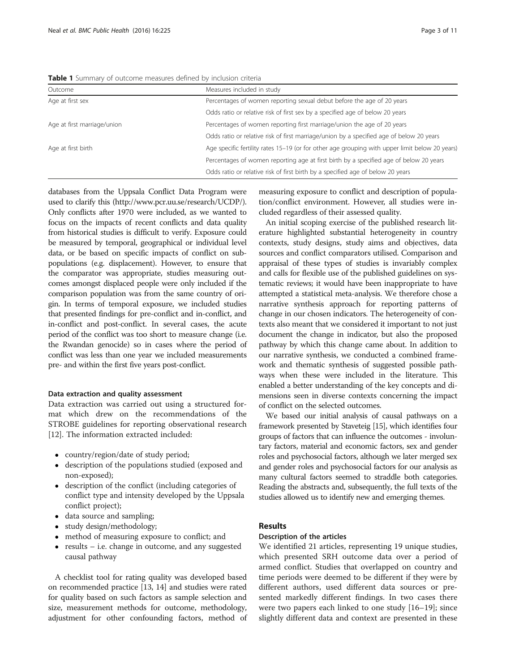<span id="page-2-0"></span>Table 1 Summary of outcome measures defined by inclusion criteria

| Outcome                     | Measures included in study                                                                     |  |
|-----------------------------|------------------------------------------------------------------------------------------------|--|
| Age at first sex            | Percentages of women reporting sexual debut before the age of 20 years                         |  |
|                             | Odds ratio or relative risk of first sex by a specified age of below 20 years                  |  |
| Age at first marriage/union | Percentages of women reporting first marriage/union the age of 20 years                        |  |
|                             | Odds ratio or relative risk of first marriage/union by a specified age of below 20 years       |  |
| Age at first birth          | Age specific fertility rates 15-19 (or for other age grouping with upper limit below 20 years) |  |
|                             | Percentages of women reporting age at first birth by a specified age of below 20 years         |  |
|                             | Odds ratio or relative risk of first birth by a specified age of below 20 years                |  |
|                             |                                                                                                |  |

databases from the Uppsala Conflict Data Program were used to clarify this [\(http://www.pcr.uu.se/research/UCDP/](http://www.pcr.uu.se/research/UCDP/)). Only conflicts after 1970 were included, as we wanted to focus on the impacts of recent conflicts and data quality from historical studies is difficult to verify. Exposure could be measured by temporal, geographical or individual level data, or be based on specific impacts of conflict on subpopulations (e.g. displacement). However, to ensure that the comparator was appropriate, studies measuring outcomes amongst displaced people were only included if the comparison population was from the same country of origin. In terms of temporal exposure, we included studies that presented findings for pre-conflict and in-conflict, and in-conflict and post-conflict. In several cases, the acute period of the conflict was too short to measure change (i.e. the Rwandan genocide) so in cases where the period of conflict was less than one year we included measurements pre- and within the first five years post-conflict.

### Data extraction and quality assessment

Data extraction was carried out using a structured format which drew on the recommendations of the STROBE guidelines for reporting observational research [[12\]](#page-10-0). The information extracted included:

- country/region/date of study period;
- description of the populations studied (exposed and non-exposed);
- description of the conflict (including categories of conflict type and intensity developed by the Uppsala conflict project);
- data source and sampling;
- study design/methodology;
- method of measuring exposure to conflict; and
- results i.e. change in outcome, and any suggested causal pathway

A checklist tool for rating quality was developed based on recommended practice [[13](#page-10-0), [14](#page-10-0)] and studies were rated for quality based on such factors as sample selection and size, measurement methods for outcome, methodology, adjustment for other confounding factors, method of measuring exposure to conflict and description of population/conflict environment. However, all studies were included regardless of their assessed quality.

An initial scoping exercise of the published research literature highlighted substantial heterogeneity in country contexts, study designs, study aims and objectives, data sources and conflict comparators utilised. Comparison and appraisal of these types of studies is invariably complex and calls for flexible use of the published guidelines on systematic reviews; it would have been inappropriate to have attempted a statistical meta-analysis. We therefore chose a narrative synthesis approach for reporting patterns of change in our chosen indicators. The heterogeneity of contexts also meant that we considered it important to not just document the change in indicator, but also the proposed pathway by which this change came about. In addition to our narrative synthesis, we conducted a combined framework and thematic synthesis of suggested possible pathways when these were included in the literature. This enabled a better understanding of the key concepts and dimensions seen in diverse contexts concerning the impact of conflict on the selected outcomes.

We based our initial analysis of causal pathways on a framework presented by Staveteig [[15](#page-10-0)], which identifies four groups of factors that can influence the outcomes - involuntary factors, material and economic factors, sex and gender roles and psychosocial factors, although we later merged sex and gender roles and psychosocial factors for our analysis as many cultural factors seemed to straddle both categories. Reading the abstracts and, subsequently, the full texts of the studies allowed us to identify new and emerging themes.

# Results

# Description of the articles

We identified 21 articles, representing 19 unique studies, which presented SRH outcome data over a period of armed conflict. Studies that overlapped on country and time periods were deemed to be different if they were by different authors, used different data sources or presented markedly different findings. In two cases there were two papers each linked to one study [[16](#page-10-0)–[19](#page-10-0)]; since slightly different data and context are presented in these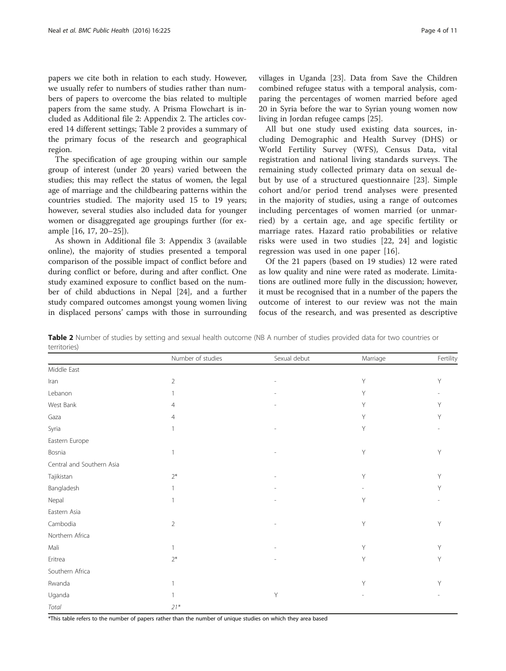papers we cite both in relation to each study. However, we usually refer to numbers of studies rather than numbers of papers to overcome the bias related to multiple papers from the same study. A Prisma Flowchart is included as Additional file [2](#page-9-0): Appendix [2.](#page-9-0) The articles covered 14 different settings; Table 2 provides a summary of the primary focus of the research and geographical region.

The specification of age grouping within our sample group of interest (under 20 years) varied between the studies; this may reflect the status of women, the legal age of marriage and the childbearing patterns within the countries studied. The majority used 15 to 19 years; however, several studies also included data for younger women or disaggregated age groupings further (for example [[16](#page-10-0), [17](#page-10-0), [20](#page-10-0)–[25\]](#page-10-0)).

As shown in Additional file [3](#page-9-0): Appendix 3 (available online), the majority of studies presented a temporal comparison of the possible impact of conflict before and during conflict or before, during and after conflict. One study examined exposure to conflict based on the number of child abductions in Nepal [[24\]](#page-10-0), and a further study compared outcomes amongst young women living in displaced persons' camps with those in surrounding villages in Uganda [[23\]](#page-10-0). Data from Save the Children combined refugee status with a temporal analysis, comparing the percentages of women married before aged 20 in Syria before the war to Syrian young women now living in Jordan refugee camps [[25](#page-10-0)].

All but one study used existing data sources, including Demographic and Health Survey (DHS) or World Fertility Survey (WFS), Census Data, vital registration and national living standards surveys. The remaining study collected primary data on sexual debut by use of a structured questionnaire [[23](#page-10-0)]. Simple cohort and/or period trend analyses were presented in the majority of studies, using a range of outcomes including percentages of women married (or unmarried) by a certain age, and age specific fertility or marriage rates. Hazard ratio probabilities or relative risks were used in two studies [[22, 24](#page-10-0)] and logistic regression was used in one paper [[16](#page-10-0)].

Of the 21 papers (based on 19 studies) 12 were rated as low quality and nine were rated as moderate. Limitations are outlined more fully in the discussion; however, it must be recognised that in a number of the papers the outcome of interest to our review was not the main focus of the research, and was presented as descriptive

Table 2 Number of studies by setting and sexual health outcome (NB A number of studies provided data for two countries or territories)

|                           | Number of studies | Sexual debut | Marriage                 | Fertility |
|---------------------------|-------------------|--------------|--------------------------|-----------|
| Middle East               |                   |              |                          |           |
| Iran                      | $\overline{2}$    |              | Y                        | Y         |
| Lebanon                   | 1                 |              | Y                        |           |
| West Bank                 | $\overline{4}$    |              | Y                        | Y         |
| Gaza                      | $\overline{4}$    |              | Y                        | Υ         |
| Syria                     | 1                 |              | Y                        |           |
| Eastern Europe            |                   |              |                          |           |
| Bosnia                    | $\mathbf{1}$      |              | Y                        | Y         |
| Central and Southern Asia |                   |              |                          |           |
| Tajikistan                | $2*$              |              | Y                        | Y         |
| Bangladesh                | 1                 |              |                          | Y         |
| Nepal                     | $\mathbf{1}$      |              | Y                        |           |
| Eastern Asia              |                   |              |                          |           |
| Cambodia                  | $\overline{2}$    |              | Y                        | Y         |
| Northern Africa           |                   |              |                          |           |
| Mali                      | $\mathbf{1}$      |              | Y                        | Y         |
| Eritrea                   | $2*$              |              | Y                        | Y         |
| Southern Africa           |                   |              |                          |           |
| Rwanda                    | 1                 |              | Y                        | Y         |
| Uganda                    | 1                 | Υ            | $\overline{\phantom{a}}$ |           |
| Total                     | $21*$             |              |                          |           |

\*This table refers to the number of papers rather than the number of unique studies on which they area based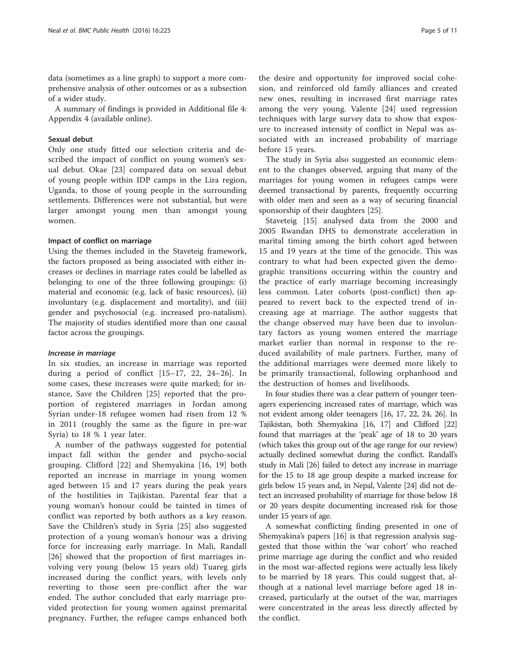data (sometimes as a line graph) to support a more comprehensive analysis of other outcomes or as a subsection of a wider study.

A summary of findings is provided in Additional file [4](#page-9-0): Appendix 4 (available online).

## Sexual debut

Only one study fitted our selection criteria and described the impact of conflict on young women's sexual debut. Okae [\[23](#page-10-0)] compared data on sexual debut of young people within IDP camps in the Lira region, Uganda, to those of young people in the surrounding settlements. Differences were not substantial, but were larger amongst young men than amongst young women.

### Impact of conflict on marriage

Using the themes included in the Staveteig framework, the factors proposed as being associated with either increases or declines in marriage rates could be labelled as belonging to one of the three following groupings: (i) material and economic (e.g. lack of basic resources), (ii) involuntary (e.g. displacement and mortality), and (iii) gender and psychosocial (e.g. increased pro-natalism). The majority of studies identified more than one causal factor across the groupings.

In six studies, an increase in marriage was reported during a period of conflict [\[15](#page-10-0)–[17](#page-10-0), [22](#page-10-0), [24](#page-10-0)–[26\]](#page-10-0). In some cases, these increases were quite marked; for instance, Save the Children [\[25](#page-10-0)] reported that the proportion of registered marriages in Jordan among Syrian under-18 refugee women had risen from 12 % in 2011 (roughly the same as the figure in pre-war Syria) to 18 % 1 year later.

A number of the pathways suggested for potential impact fall within the gender and psycho-social grouping. Clifford [\[22](#page-10-0)] and Shemyakina [[16, 19\]](#page-10-0) both reported an increase in marriage in young women aged between 15 and 17 years during the peak years of the hostilities in Tajikistan. Parental fear that a young woman's honour could be tainted in times of conflict was reported by both authors as a key reason. Save the Children's study in Syria [[25\]](#page-10-0) also suggested protection of a young woman's honour was a driving force for increasing early marriage. In Mali, Randall [[26\]](#page-10-0) showed that the proportion of first marriages involving very young (below 15 years old) Tuareg girls increased during the conflict years, with levels only reverting to those seen pre-conflict after the war ended. The author concluded that early marriage provided protection for young women against premarital pregnancy. Further, the refugee camps enhanced both

the desire and opportunity for improved social cohesion, and reinforced old family alliances and created new ones, resulting in increased first marriage rates among the very young. Valente [[24\]](#page-10-0) used regression techniques with large survey data to show that exposure to increased intensity of conflict in Nepal was associated with an increased probability of marriage before 15 years.

The study in Syria also suggested an economic element to the changes observed, arguing that many of the marriages for young women in refugees camps were deemed transactional by parents, frequently occurring with older men and seen as a way of securing financial sponsorship of their daughters [[25\]](#page-10-0).

Staveteig [\[15](#page-10-0)] analysed data from the 2000 and 2005 Rwandan DHS to demonstrate acceleration in marital timing among the birth cohort aged between 15 and 19 years at the time of the genocide. This was contrary to what had been expected given the demographic transitions occurring within the country and the practice of early marriage becoming increasingly less common. Later cohorts (post-conflict) then appeared to revert back to the expected trend of increasing age at marriage. The author suggests that the change observed may have been due to involuntary factors as young women entered the marriage market earlier than normal in response to the reduced availability of male partners. Further, many of the additional marriages were deemed more likely to be primarily transactional, following orphanhood and the destruction of homes and livelihoods.

In four studies there was a clear pattern of younger teenagers experiencing increased rates of marriage, which was not evident among older teenagers [\[16, 17, 22](#page-10-0), [24](#page-10-0), [26](#page-10-0)]. In Tajikistan, both Shemyakina [\[16, 17](#page-10-0)] and Clifford [\[22](#page-10-0)] found that marriages at the 'peak' age of 18 to 20 years (which takes this group out of the age range for our review) actually declined somewhat during the conflict. Randall's study in Mali [[26](#page-10-0)] failed to detect any increase in marriage for the 15 to 18 age group despite a marked increase for girls below 15 years and, in Nepal, Valente [[24\]](#page-10-0) did not detect an increased probability of marriage for those below 18 or 20 years despite documenting increased risk for those under 15 years of age.

A somewhat conflicting finding presented in one of Shemyakina's papers [\[16](#page-10-0)] is that regression analysis suggested that those within the 'war cohort' who reached prime marriage age during the conflict and who resided in the most war-affected regions were actually less likely to be married by 18 years. This could suggest that, although at a national level marriage before aged 18 increased, particularly at the outset of the war, marriages were concentrated in the areas less directly affected by the conflict.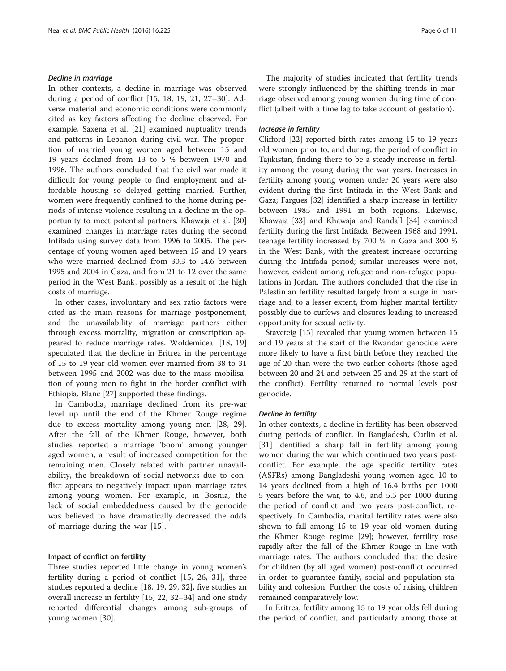In other contexts, a decline in marriage was observed during a period of conflict [[15, 18, 19, 21, 27](#page-10-0)–[30](#page-10-0)]. Adverse material and economic conditions were commonly cited as key factors affecting the decline observed. For example, Saxena et al. [\[21](#page-10-0)] examined nuptuality trends and patterns in Lebanon during civil war. The proportion of married young women aged between 15 and 19 years declined from 13 to 5 % between 1970 and 1996. The authors concluded that the civil war made it difficult for young people to find employment and affordable housing so delayed getting married. Further, women were frequently confined to the home during periods of intense violence resulting in a decline in the opportunity to meet potential partners. Khawaja et al. [[30](#page-10-0)] examined changes in marriage rates during the second Intifada using survey data from 1996 to 2005. The percentage of young women aged between 15 and 19 years who were married declined from 30.3 to 14.6 between 1995 and 2004 in Gaza, and from 21 to 12 over the same period in the West Bank, possibly as a result of the high costs of marriage.

In other cases, involuntary and sex ratio factors were cited as the main reasons for marriage postponement, and the unavailability of marriage partners either through excess mortality, migration or conscription appeared to reduce marriage rates. Woldemiceal [\[18, 19](#page-10-0)] speculated that the decline in Eritrea in the percentage of 15 to 19 year old women ever married from 38 to 31 between 1995 and 2002 was due to the mass mobilisation of young men to fight in the border conflict with Ethiopia. Blanc [\[27](#page-10-0)] supported these findings.

In Cambodia, marriage declined from its pre-war level up until the end of the Khmer Rouge regime due to excess mortality among young men [\[28](#page-10-0), [29](#page-10-0)]. After the fall of the Khmer Rouge, however, both studies reported a marriage 'boom' among younger aged women, a result of increased competition for the remaining men. Closely related with partner unavailability, the breakdown of social networks due to conflict appears to negatively impact upon marriage rates among young women. For example, in Bosnia, the lack of social embeddedness caused by the genocide was believed to have dramatically decreased the odds of marriage during the war [\[15](#page-10-0)].

#### Impact of conflict on fertility

Three studies reported little change in young women's fertility during a period of conflict [\[15](#page-10-0), [26](#page-10-0), [31](#page-10-0)], three studies reported a decline [[18, 19, 29, 32\]](#page-10-0), five studies an overall increase in fertility [\[15, 22](#page-10-0), [32](#page-10-0)–[34](#page-10-0)] and one study reported differential changes among sub-groups of young women [[30](#page-10-0)].

The majority of studies indicated that fertility trends were strongly influenced by the shifting trends in marriage observed among young women during time of conflict (albeit with a time lag to take account of gestation).

Clifford [\[22](#page-10-0)] reported birth rates among 15 to 19 years old women prior to, and during, the period of conflict in Tajikistan, finding there to be a steady increase in fertility among the young during the war years. Increases in fertility among young women under 20 years were also evident during the first Intifada in the West Bank and Gaza; Fargues [[32\]](#page-10-0) identified a sharp increase in fertility between 1985 and 1991 in both regions. Likewise, Khawaja [[33\]](#page-10-0) and Khawaja and Randall [[34](#page-10-0)] examined fertility during the first Intifada. Between 1968 and 1991, teenage fertility increased by 700 % in Gaza and 300 % in the West Bank, with the greatest increase occurring during the Intifada period; similar increases were not, however, evident among refugee and non-refugee populations in Jordan. The authors concluded that the rise in Palestinian fertility resulted largely from a surge in marriage and, to a lesser extent, from higher marital fertility possibly due to curfews and closures leading to increased opportunity for sexual activity.

Staveteig [[15\]](#page-10-0) revealed that young women between 15 and 19 years at the start of the Rwandan genocide were more likely to have a first birth before they reached the age of 20 than were the two earlier cohorts (those aged between 20 and 24 and between 25 and 29 at the start of the conflict). Fertility returned to normal levels post genocide.

In other contexts, a decline in fertility has been observed during periods of conflict. In Bangladesh, Curlin et al. [[31\]](#page-10-0) identified a sharp fall in fertility among young women during the war which continued two years postconflict. For example, the age specific fertility rates (ASFRs) among Bangladeshi young women aged 10 to 14 years declined from a high of 16.4 births per 1000 5 years before the war, to 4.6, and 5.5 per 1000 during the period of conflict and two years post-conflict, respectively. In Cambodia, marital fertility rates were also shown to fall among 15 to 19 year old women during the Khmer Rouge regime [[29](#page-10-0)]; however, fertility rose rapidly after the fall of the Khmer Rouge in line with marriage rates. The authors concluded that the desire for children (by all aged women) post-conflict occurred in order to guarantee family, social and population stability and cohesion. Further, the costs of raising children remained comparatively low.

In Eritrea, fertility among 15 to 19 year olds fell during the period of conflict, and particularly among those at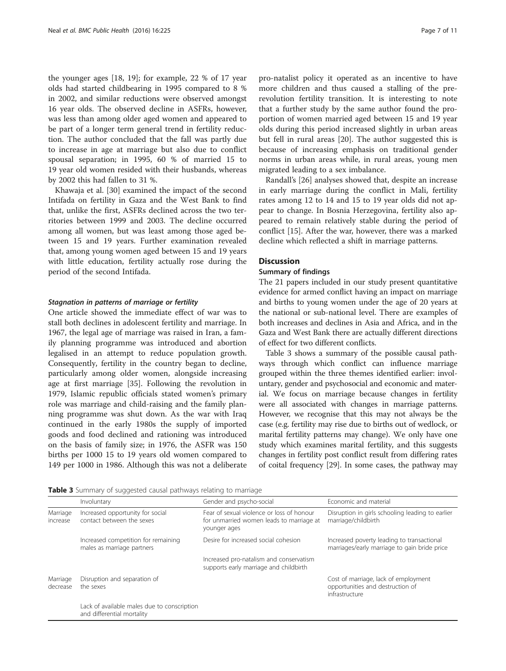the younger ages [\[18](#page-10-0), [19\]](#page-10-0); for example, 22 % of 17 year olds had started childbearing in 1995 compared to 8 % in 2002, and similar reductions were observed amongst 16 year olds. The observed decline in ASFRs, however, was less than among older aged women and appeared to be part of a longer term general trend in fertility reduction. The author concluded that the fall was partly due to increase in age at marriage but also due to conflict spousal separation; in 1995, 60 % of married 15 to 19 year old women resided with their husbands, whereas by 2002 this had fallen to 31 %.

Khawaja et al. [[30](#page-10-0)] examined the impact of the second Intifada on fertility in Gaza and the West Bank to find that, unlike the first, ASFRs declined across the two territories between 1999 and 2003. The decline occurred among all women, but was least among those aged between 15 and 19 years. Further examination revealed that, among young women aged between 15 and 19 years with little education, fertility actually rose during the period of the second Intifada.

One article showed the immediate effect of war was to stall both declines in adolescent fertility and marriage. In 1967, the legal age of marriage was raised in Iran, a family planning programme was introduced and abortion legalised in an attempt to reduce population growth. Consequently, fertility in the country began to decline, particularly among older women, alongside increasing age at first marriage [[35\]](#page-10-0). Following the revolution in 1979, Islamic republic officials stated women's primary role was marriage and child-raising and the family planning programme was shut down. As the war with Iraq continued in the early 1980s the supply of imported goods and food declined and rationing was introduced on the basis of family size; in 1976, the ASFR was 150 births per 1000 15 to 19 years old women compared to 149 per 1000 in 1986. Although this was not a deliberate

pro-natalist policy it operated as an incentive to have more children and thus caused a stalling of the prerevolution fertility transition. It is interesting to note that a further study by the same author found the proportion of women married aged between 15 and 19 year olds during this period increased slightly in urban areas but fell in rural areas [[20\]](#page-10-0). The author suggested this is because of increasing emphasis on traditional gender norms in urban areas while, in rural areas, young men migrated leading to a sex imbalance.

Randall's [[26](#page-10-0)] analyses showed that, despite an increase in early marriage during the conflict in Mali, fertility rates among 12 to 14 and 15 to 19 year olds did not appear to change. In Bosnia Herzegovina, fertility also appeared to remain relatively stable during the period of conflict [\[15](#page-10-0)]. After the war, however, there was a marked decline which reflected a shift in marriage patterns.

#### **Discussion**

### Summary of findings

The 21 papers included in our study present quantitative evidence for armed conflict having an impact on marriage and births to young women under the age of 20 years at the national or sub-national level. There are examples of both increases and declines in Asia and Africa, and in the Gaza and West Bank there are actually different directions of effect for two different conflicts.

Table 3 shows a summary of the possible causal pathways through which conflict can influence marriage grouped within the three themes identified earlier: involuntary, gender and psychosocial and economic and material. We focus on marriage because changes in fertility were all associated with changes in marriage patterns. However, we recognise that this may not always be the case (e.g. fertility may rise due to births out of wedlock, or marital fertility patterns may change). We only have one study which examines marital fertility, and this suggests changes in fertility post conflict result from differing rates of coital frequency [\[29\]](#page-10-0). In some cases, the pathway may

Table 3 Summary of suggested causal pathways relating to marriage

|                      | Involuntary                                                               | Gender and psycho-social                                                                              | Economic and material                                                                      |
|----------------------|---------------------------------------------------------------------------|-------------------------------------------------------------------------------------------------------|--------------------------------------------------------------------------------------------|
| Marriage<br>increase | Increased opportunity for social<br>contact between the sexes             | Fear of sexual violence or loss of honour<br>for unmarried women leads to marriage at<br>younger ages | Disruption in girls schooling leading to earlier<br>marriage/childbirth                    |
|                      | Increased competition for remaining<br>males as marriage partners         | Desire for increased social cohesion                                                                  | Increased poverty leading to transactional<br>marriages/early marriage to gain bride price |
|                      |                                                                           | Increased pro-natalism and conservatism<br>supports early marriage and childbirth                     |                                                                                            |
| Marriage<br>decrease | Disruption and separation of<br>the sexes                                 |                                                                                                       | Cost of marriage, lack of employment<br>opportunities and destruction of<br>infrastructure |
|                      | Lack of available males due to conscription<br>and differential mortality |                                                                                                       |                                                                                            |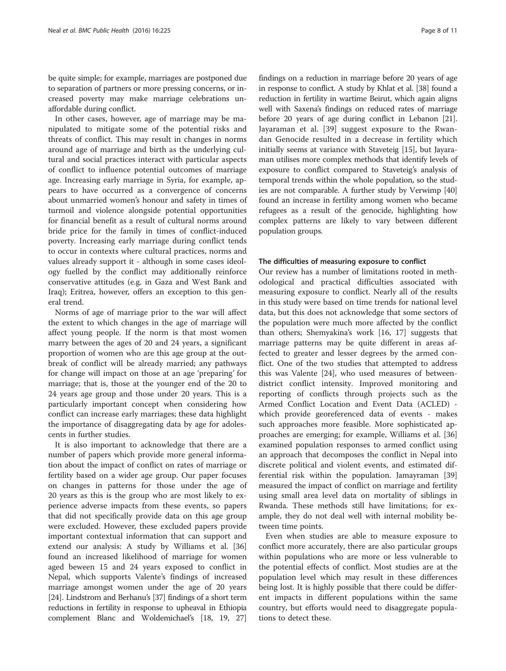be quite simple; for example, marriages are postponed due to separation of partners or more pressing concerns, or increased poverty may make marriage celebrations unaffordable during conflict.

In other cases, however, age of marriage may be manipulated to mitigate some of the potential risks and threats of conflict. This may result in changes in norms around age of marriage and birth as the underlying cultural and social practices interact with particular aspects of conflict to influence potential outcomes of marriage age. Increasing early marriage in Syria, for example, appears to have occurred as a convergence of concerns about unmarried women's honour and safety in times of turmoil and violence alongside potential opportunities for financial benefit as a result of cultural norms around bride price for the family in times of conflict-induced poverty. Increasing early marriage during conflict tends to occur in contexts where cultural practices, norms and values already support it - although in some cases ideology fuelled by the conflict may additionally reinforce conservative attitudes (e.g. in Gaza and West Bank and Iraq); Eritrea, however, offers an exception to this general trend.

Norms of age of marriage prior to the war will affect the extent to which changes in the age of marriage will affect young people. If the norm is that most women marry between the ages of 20 and 24 years, a significant proportion of women who are this age group at the outbreak of conflict will be already married; any pathways for change will impact on those at an age 'preparing' for marriage; that is, those at the younger end of the 20 to 24 years age group and those under 20 years. This is a particularly important concept when considering how conflict can increase early marriages; these data highlight the importance of disaggregating data by age for adolescents in further studies.

It is also important to acknowledge that there are a number of papers which provide more general information about the impact of conflict on rates of marriage or fertility based on a wider age group. Our paper focuses on changes in patterns for those under the age of 20 years as this is the group who are most likely to experience adverse impacts from these events, so papers that did not specifically provide data on this age group were excluded. However, these excluded papers provide important contextual information that can support and extend our analysis: A study by Williams et al. [[36](#page-10-0)] found an increased likelihood of marriage for women aged beween 15 and 24 years exposed to conflict in Nepal, which supports Valente's findings of increased marriage amongst women under the age of 20 years [[24\]](#page-10-0). Lindstrom and Berhanu's [[37](#page-10-0)] findings of a short term reductions in fertility in response to upheaval in Ethiopia complement Blanc and Woldemichael's [\[18, 19, 27](#page-10-0)] findings on a reduction in marriage before 20 years of age in response to conflict. A study by Khlat et al. [[38](#page-10-0)] found a reduction in fertility in wartime Beirut, which again aligns well with Saxena's findings on reduced rates of marriage before 20 years of age during conflict in Lebanon [[21](#page-10-0)]. Jayaraman et al. [[39\]](#page-10-0) suggest exposure to the Rwandan Genocide resulted in a decrease in fertility which initially seems at variance with Staveteig [\[15\]](#page-10-0), but Jayaraman utilises more complex methods that identify levels of exposure to conflict compared to Staveteig's analysis of temporal trends within the whole population, so the studies are not comparable. A further study by Verwimp [[40](#page-10-0)] found an increase in fertility among women who became refugees as a result of the genocide, highlighting how complex patterns are likely to vary between different population groups.

### The difficulties of measuring exposure to conflict

Our review has a number of limitations rooted in methodological and practical difficulties associated with measuring exposure to conflict. Nearly all of the results in this study were based on time trends for national level data, but this does not acknowledge that some sectors of the population were much more affected by the conflict than others; Shemyakina's work [[16](#page-10-0), [17](#page-10-0)] suggests that marriage patterns may be quite different in areas affected to greater and lesser degrees by the armed conflict. One of the two studies that attempted to address this was Valente [\[24](#page-10-0)], who used measures of betweendistrict conflict intensity. Improved monitoring and reporting of conflicts through projects such as the Armed Conflict Location and Event Data (ACLED) which provide georeferenced data of events - makes such approaches more feasible. More sophisticated approaches are emerging; for example, Williams et al. [[36](#page-10-0)] examined population responses to armed conflict using an approach that decomposes the conflict in Nepal into discrete political and violent events, and estimated differential risk within the population. Jamayraman [[39](#page-10-0)] measured the impact of conflict on marriage and fertility using small area level data on mortality of siblings in Rwanda. These methods still have limitations; for example, they do not deal well with internal mobility between time points.

Even when studies are able to measure exposure to conflict more accurately, there are also particular groups within populations who are more or less vulnerable to the potential effects of conflict. Most studies are at the population level which may result in these differences being lost. It is highly possible that there could be different impacts in different populations within the same country, but efforts would need to disaggregate populations to detect these.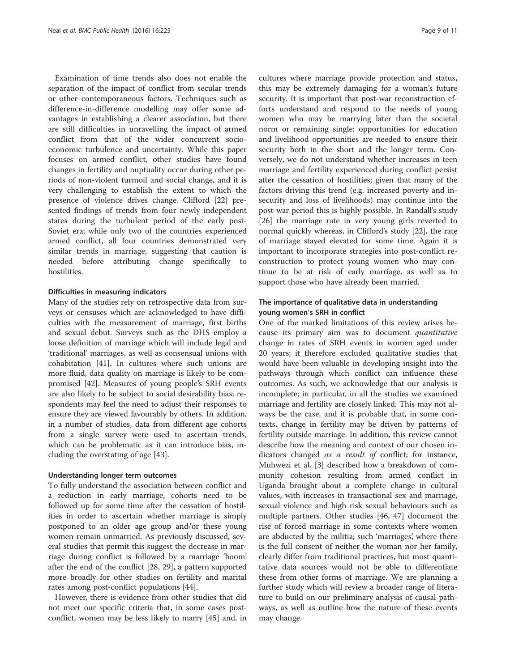Examination of time trends also does not enable the separation of the impact of conflict from secular trends or other contemporaneous factors. Techniques such as difference-in-difference modelling may offer some advantages in establishing a clearer association, but there are still difficulties in unravelling the impact of armed conflict from that of the wider concurrent socioeconomic turbulence and uncertainty. While this paper focuses on armed conflict, other studies have found changes in fertility and nuptuality occur during other periods of non-violent turmoil and social change, and it is very challenging to establish the extent to which the presence of violence drives change. Clifford [\[22](#page-10-0)] presented findings of trends from four newly independent states during the turbulent period of the early post-Soviet era; while only two of the countries experienced armed conflict, all four countries demonstrated very similar trends in marriage, suggesting that caution is needed before attributing change specifically to hostilities.

#### Difficulties in measuring indicators

Many of the studies rely on retrospective data from surveys or censuses which are acknowledged to have difficulties with the measurement of marriage, first births and sexual debut. Surveys such as the DHS employ a loose definition of marriage which will include legal and 'traditional' marriages, as well as consensual unions with cohabitation [\[41](#page-10-0)]. In cultures where such unions are more fluid, data quality on marriage is likely to be compromised [\[42\]](#page-10-0). Measures of young people's SRH events are also likely to be subject to social desirability bias; respondents may feel the need to adjust their responses to ensure they are viewed favourably by others. In addition, in a number of studies, data from different age cohorts from a single survey were used to ascertain trends, which can be problematic as it can introduce bias, including the overstating of age [[43\]](#page-10-0).

# Understanding longer term outcomes

To fully understand the association between conflict and a reduction in early marriage, cohorts need to be followed up for some time after the cessation of hostilities in order to ascertain whether marriage is simply postponed to an older age group and/or these young women remain unmarried. As previously discussed, several studies that permit this suggest the decrease in marriage during conflict is followed by a marriage 'boom' after the end of the conflict [\[28](#page-10-0), [29](#page-10-0)], a pattern supported more broadly for other studies on fertility and marital rates among post-conflict populations [[44\]](#page-10-0).

However, there is evidence from other studies that did not meet our specific criteria that, in some cases postconflict, women may be less likely to marry [\[45](#page-10-0)] and, in cultures where marriage provide protection and status, this may be extremely damaging for a woman's future security. It is important that post-war reconstruction efforts understand and respond to the needs of young women who may be marrying later than the societal norm or remaining single; opportunities for education and livelihood opportunities are needed to ensure their security both in the short and the longer term. Conversely, we do not understand whether increases in teen marriage and fertility experienced during conflict persist after the cessation of hostilities; given that many of the factors driving this trend (e.g. increased poverty and insecurity and loss of livelihoods) may continue into the post-war period this is highly possible. In Randall's study [[26\]](#page-10-0) the marriage rate in very young girls reverted to normal quickly whereas, in Clifford's study [\[22](#page-10-0)], the rate of marriage stayed elevated for some time. Again it is important to incorporate strategies into post-conflict reconstruction to protect young women who may continue to be at risk of early marriage, as well as to support those who have already been married.

# The importance of qualitative data in understanding young women's SRH in conflict

One of the marked limitations of this review arises because its primary aim was to document quantitative change in rates of SRH events in women aged under 20 years; it therefore excluded qualitative studies that would have been valuable in developing insight into the pathways through which conflict can influence these outcomes. As such, we acknowledge that our analysis is incomplete; in particular, in all the studies we examined marriage and fertility are closely linked. This may not always be the case, and it is probable that, in some contexts, change in fertility may be driven by patterns of fertility outside marriage. In addition, this review cannot describe how the meaning and context of our chosen indicators changed *as a result of* conflict; for instance, Muhwezi et al. [\[3](#page-9-0)] described how a breakdown of community cohesion resulting from armed conflict in Uganda brought about a complete change in cultural values, with increases in transactional sex and marriage, sexual violence and high risk sexual behaviours such as multiple partners. Other studies [[46, 47\]](#page-10-0) document the rise of forced marriage in some contexts where women are abducted by the militia; such 'marriages', where there is the full consent of neither the woman nor her family, clearly differ from traditional practices, but most quantitative data sources would not be able to differentiate these from other forms of marriage. We are planning a further study which will review a broader range of literature to build on our preliminary analysis of causal pathways, as well as outline how the nature of these events may change.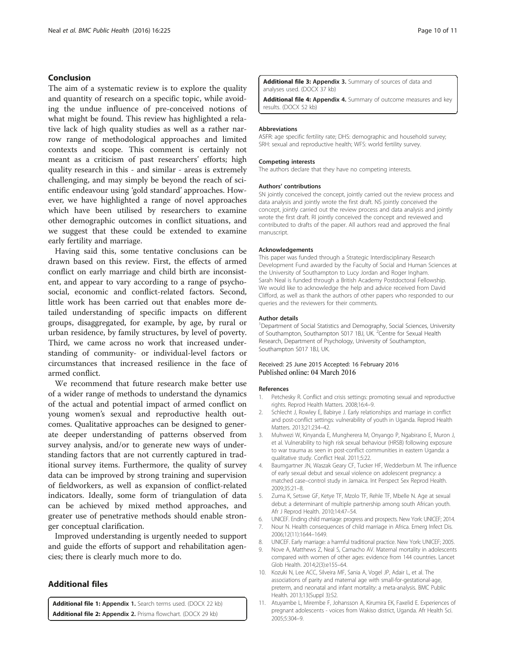# <span id="page-9-0"></span>Conclusion

The aim of a systematic review is to explore the quality and quantity of research on a specific topic, while avoiding the undue influence of pre-conceived notions of what might be found. This review has highlighted a relative lack of high quality studies as well as a rather narrow range of methodological approaches and limited contexts and scope. This comment is certainly not meant as a criticism of past researchers' efforts; high quality research in this - and similar - areas is extremely challenging, and may simply be beyond the reach of scientific endeavour using 'gold standard' approaches. However, we have highlighted a range of novel approaches which have been utilised by researchers to examine other demographic outcomes in conflict situations, and we suggest that these could be extended to examine early fertility and marriage.

Having said this, some tentative conclusions can be drawn based on this review. First, the effects of armed conflict on early marriage and child birth are inconsistent, and appear to vary according to a range of psychosocial, economic and conflict-related factors. Second, little work has been carried out that enables more detailed understanding of specific impacts on different groups, disaggregated, for example, by age, by rural or urban residence, by family structures, by level of poverty. Third, we came across no work that increased understanding of community- or individual-level factors or circumstances that increased resilience in the face of armed conflict.

We recommend that future research make better use of a wider range of methods to understand the dynamics of the actual and potential impact of armed conflict on young women's sexual and reproductive health outcomes. Qualitative approaches can be designed to generate deeper understanding of patterns observed from survey analysis, and/or to generate new ways of understanding factors that are not currently captured in traditional survey items. Furthermore, the quality of survey data can be improved by strong training and supervision of fieldworkers, as well as expansion of conflict-related indicators. Ideally, some form of triangulation of data can be achieved by mixed method approaches, and greater use of penetrative methods should enable stronger conceptual clarification.

Improved understanding is urgently needed to support and guide the efforts of support and rehabilitation agencies; there is clearly much more to do.

# Additional files

[Additional file 1:](dx.doi.org/10.1186/s12889-016-2868-5) Appendix 1. Search terms used. (DOCX 22 kb) [Additional file 2:](dx.doi.org/10.1186/s12889-016-2868-5) Appendix 2. Prisma flowchart. (DOCX 29 kb)

[Additional file 3:](dx.doi.org/10.1186/s12889-016-2868-5) Appendix 3. Summary of sources of data and analyses used. (DOCX 37 kb)

[Additional file 4:](dx.doi.org/10.1186/s12889-016-2868-5) Appendix 4. Summary of outcome measures and key results. (DOCX 52 kb)

#### Abbreviations

ASFR: age specific fertility rate; DHS: demographic and household survey; SRH: sexual and reproductive health; WFS: world fertility survey.

#### Competing interests

The authors declare that they have no competing interests.

#### Authors' contributions

SN jointly conceived the concept, jointly carried out the review process and data analysis and jointly wrote the first draft. NS jointly conceived the concept, jointly carried out the review process and data analysis and jointly wrote the first draft. RI jointly conceived the concept and reviewed and contributed to drafts of the paper. All authors read and approved the final manuscript.

#### Acknowledgements

This paper was funded through a Strategic Interdisciplinary Research Development Fund awarded by the Faculty of Social and Human Sciences at the University of Southampton to Lucy Jordan and Roger Ingham. Sarah Neal is funded through a British Academy Postdoctoral Fellowship. We would like to acknowledge the help and advice received from David Clifford, as well as thank the authors of other papers who responded to our queries and the reviewers for their comments.

#### Author details

<sup>1</sup>Department of Social Statistics and Demography, Social Sciences, University of Southampton, Southampton S017 1BJ, UK. <sup>2</sup>Centre for Sexual Health Research, Department of Psychology, University of Southampton, Southampton S017 1BJ, UK.

### Received: 25 June 2015 Accepted: 16 February 2016 Published online: 04 March 2016

#### References

- 1. Petchesky R. Conflict and crisis settings: promoting sexual and reproductive rights. Reprod Health Matters. 2008;16:4–9.
- 2. Schlecht J, Rowley E, Babirye J. Early relationships and marriage in conflict and post-conflict settings: vulnerability of youth in Uganda. Reprod Health Matters. 2013;21:234–42.
- 3. Muhwezi W, Kinyanda E, Mungherera M, Onyango P, Ngabirano E, Muron J, et al. Vulnerability to high risk sexual behaviour (HRSB) following exposure to war trauma as seen in post-conflict communities in eastern Uganda: a qualitative study. Conflict Heal. 2011;5:22.
- 4. Baumgartner JN, Waszak Geary CF, Tucker HF, Wedderburn M. The influence of early sexual debut and sexual violence on adolescent pregnancy: a matched case–control study in Jamaica. Int Perspect Sex Reprod Health. 2009;35:21–8.
- 5. Zuma K, Setswe GF, Ketye TF, Mzolo TF, Rehle TF, Mbelle N. Age at sexual debut: a determinant of multiple partnership among south African youth. Afr J Reprod Health. 2010;14:47–54.
- 6. UNICEF. Ending child marriage: progress and prospects. New York: UNICEF; 2014.
- 7. Nour N. Health consequences of child marriage in Africa. Emerg Infect Dis. 2006;12(11):1644–1649.
- 8. UNICEF. Early marriage: a harmful traditional practice. New York: UNICEF; 2005.
- Nove A, Matthews Z, Neal S, Camacho AV. Maternal mortality in adolescents compared with women of other ages: evidence from 144 countries. Lancet Glob Health. 2014;2(3):e155–64.
- 10. Kozuki N, Lee ACC, Silveira MF, Sania A, Vogel JP, Adair L, et al. The associations of parity and maternal age with small-for-gestational-age, preterm, and neonatal and infant mortality: a meta-analysis. BMC Public Health. 2013;13(Suppl 3):S2.
- 11. Atuyambe L, Mirembe F, Johansson A, Kirumira EK, Faxelid E. Experiences of pregnant adolescents - voices from Wakiso district, Uganda. Afr Health Sci. 2005;5:304–9.